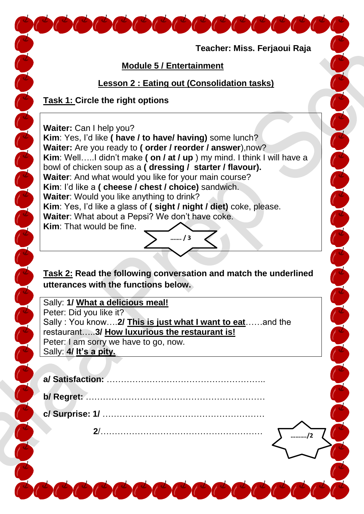**Teacher: Miss. Ferjaoui Raja** The Color of the Color Color Color Color  **Module 5 / Entertainment Lesson 2 : Eating out (Consolidation tasks) Task 1: Circle the right options** The Color of the Color of Color Color **Waiter:** Can I help you? **Kim**: Yes, I'd like **( have / to have/ having)** some lunch? **Waiter:** Are you ready to **( order / reorder / answer**),now? **Kim**: Well…..I didn't make **( on / at / up** ) my mind. I think I will have a bowl of chicken soup as a **( dressing / starter / flavour). Waiter**: And what would you like for your main course? **Kim**: I'd like a **( cheese / chest / choice)** sandwich. **Waiter**: Would you like anything to drink? **Kim**: Yes, I'd like a glass of **( sight / night / diet)** coke, please. **Waiter**: What about a Pepsi? We don't have coke. **Kim**: That would be fine. **……. / 3 Task 2: Read the following conversation and match the underlined utterances with the functions below.** Sally: **1/ What a delicious meal!**  Peter: Did you like it? Sally : You know….**2/ This is just what I want to eat**……and the restaurant…..**3/ How luxurious the restaurant is!** Peter: I am sorry we have to go, now. Sally: **4/ It's a pity. a/ Satisfaction:** ……………………………………………….. **b/ Regret:** ……………………………………………………… **c/ Surprise: 1/** …………………………………………………  **2**/………………………………………………… **………./2**